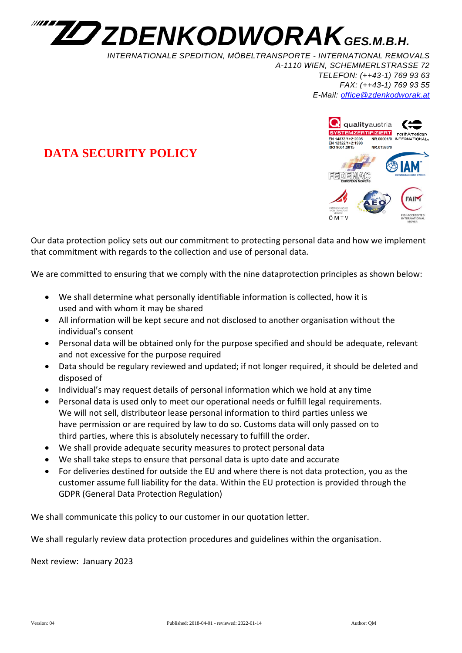

*INTERNATIONALE SPEDITION, MÖBELTRANSPORTE - INTERNATIONAL REMOVALS A-1110 WIEN, SCHEMMERLSTRASSE 72 TELEFON: (++43-1) 769 93 63 FAX: (++43-1) 769 93 55 E-Mail: [office@zdenkodworak.at](mailto:office@zdenkodworak.at)*



## **DATA SECURITY POLICY**

Our data protection policy sets out our commitment to protecting personal data and how we implement that commitment with regards to the collection and use of personal data.

We are committed to ensuring that we comply with the nine dataprotection principles as shown below:

- We shall determine what personally identifiable information is collected, how it is used and with whom it may be shared
- All information will be kept secure and not disclosed to another organisation without the individual's consent
- Personal data will be obtained only for the purpose specified and should be adequate, relevant and not excessive for the purpose required
- Data should be regulary reviewed and updated; if not longer required, it should be deleted and disposed of
- Individual's may request details of personal information which we hold at any time
- Personal data is used only to meet our operational needs or fulfill legal requirements. We will not sell, distributeor lease personal information to third parties unless we have permission or are required by law to do so. Customs data will only passed on to third parties, where this is absolutely necessary to fulfill the order.
- We shall provide adequate security measures to protect personal data
- We shall take steps to ensure that personal data is upto date and accurate
- For deliveries destined for outside the EU and where there is not data protection, you as the customer assume full liability for the data. Within the EU protection is provided through the GDPR (General Data Protection Regulation)

We shall communicate this policy to our customer in our quotation letter.

We shall regularly review data protection procedures and guidelines within the organisation.

Next review: January 2023